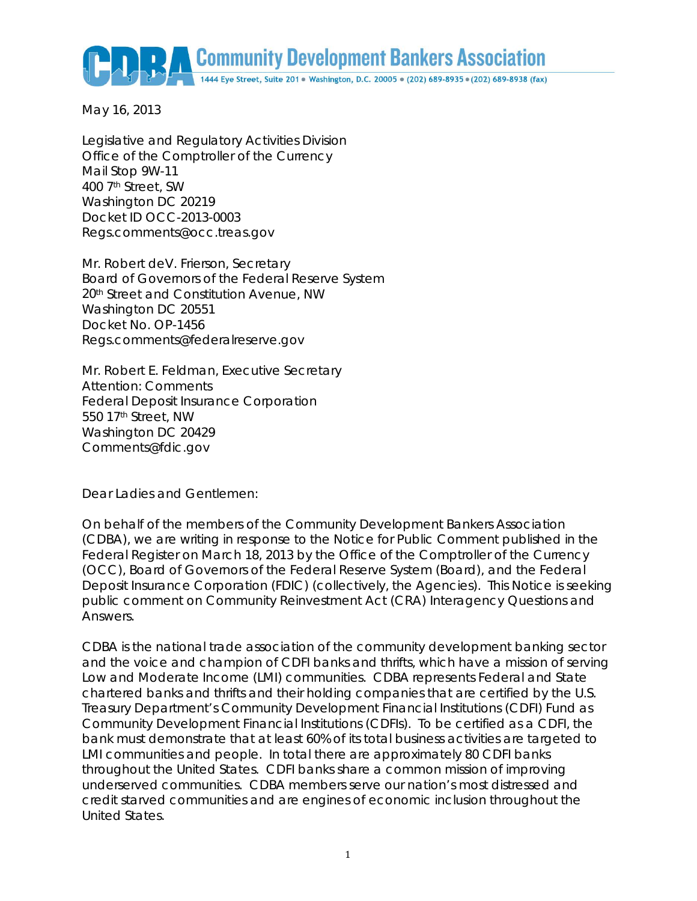Community Development Bankers Association 1444 Eye Street, Suite 201 · Washington, D.C. 20005 · (202) 689-8935 · (202) 689-8938 (fax)

May 16, 2013

Legislative and Regulatory Activities Division Office of the Comptroller of the Currency Mail Stop 9W-11 400 7th Street, SW Washington DC 20219 Docket ID OCC-2013-0003 Regs.comments@occ.treas.gov

Mr. Robert deV. Frierson, Secretary Board of Governors of the Federal Reserve System 20th Street and Constitution Avenue, NW Washington DC 20551 Docket No. OP-1456 Regs.comments@federalreserve.gov

Mr. Robert E. Feldman, Executive Secretary Attention: Comments Federal Deposit Insurance Corporation 550 17th Street, NW Washington DC 20429 Comments@fdic.gov

Dear Ladies and Gentlemen:

On behalf of the members of the Community Development Bankers Association (CDBA), we are writing in response to the Notice for Public Comment published in the Federal Register on March 18, 2013 by the Office of the Comptroller of the Currency (OCC), Board of Governors of the Federal Reserve System (Board), and the Federal Deposit Insurance Corporation (FDIC) (collectively, the Agencies). This Notice is seeking public comment on Community Reinvestment Act (CRA) Interagency Questions and Answers.

CDBA is the national trade association of the community development banking sector and the voice and champion of CDFI banks and thrifts, which have a mission of serving Low and Moderate Income (LMI) communities. CDBA represents Federal and State chartered banks and thrifts and their holding companies that are certified by the U.S. Treasury Department's Community Development Financial Institutions (CDFI) Fund as Community Development Financial Institutions (CDFIs). To be certified as a CDFI, the bank must demonstrate that at least 60% of its total business activities are targeted to LMI communities and people. In total there are approximately 80 CDFI banks throughout the United States. CDFI banks share a common mission of improving underserved communities. CDBA members serve our nation's most distressed and credit starved communities and are engines of economic inclusion throughout the United States.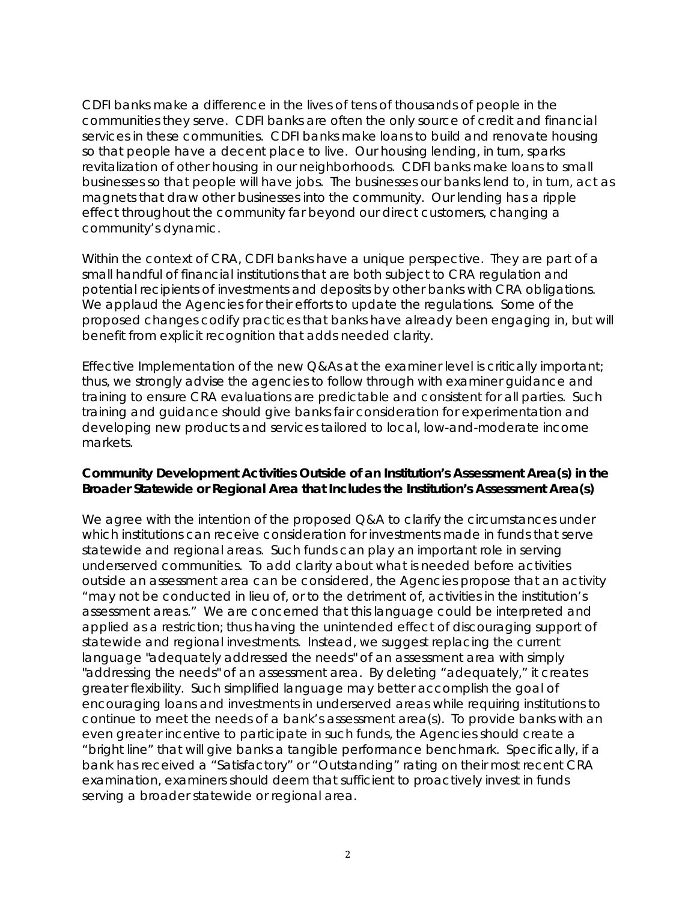CDFI banks make a difference in the lives of tens of thousands of people in the communities they serve. CDFI banks are often the only source of credit and financial services in these communities. CDFI banks make loans to build and renovate housing so that people have a decent place to live. Our housing lending, in turn, sparks revitalization of other housing in our neighborhoods. CDFI banks make loans to small businesses so that people will have jobs. The businesses our banks lend to, in turn, act as magnets that draw other businesses into the community. Our lending has a ripple effect throughout the community far beyond our direct customers, changing a community's dynamic.

Within the context of CRA, CDFI banks have a unique perspective. They are part of a small handful of financial institutions that are both subject to CRA regulation and potential recipients of investments and deposits by other banks with CRA obligations. We applaud the Agencies for their efforts to update the regulations. Some of the proposed changes codify practices that banks have already been engaging in, but will benefit from explicit recognition that adds needed clarity.

Effective Implementation of the new Q&As at the examiner level is critically important; thus, we strongly advise the agencies to follow through with examiner guidance and training to ensure CRA evaluations are predictable and consistent for all parties. Such training and guidance should give banks fair consideration for experimentation and developing new products and services tailored to local, low-and-moderate income markets.

#### **Community Development Activities Outside of an Institution's Assessment Area(s) in the Broader Statewide or Regional Area that Includes the Institution's Assessment Area(s)**

We agree with the intention of the proposed Q&A to clarify the circumstances under which institutions can receive consideration for investments made in funds that serve statewide and regional areas. Such funds can play an important role in serving underserved communities. To add clarity about what is needed before activities outside an assessment area can be considered, the Agencies propose that an activity "may not be conducted in lieu of, or to the detriment of, activities in the institution's assessment areas." We are concerned that this language could be interpreted and applied as a restriction; thus having the unintended effect of discouraging support of statewide and regional investments. Instead, we suggest replacing the current language "adequately addressed the needs" of an assessment area with simply "addressing the needs" of an assessment area. By deleting "adequately," it creates greater flexibility. Such simplified language may better accomplish the goal of encouraging loans and investments in underserved areas while requiring institutions to continue to meet the needs of a bank's assessment area(s). To provide banks with an even greater incentive to participate in such funds, the Agencies should create a "bright line" that will give banks a tangible performance benchmark. Specifically, if a bank has received a "Satisfactory" or "Outstanding" rating on their most recent CRA examination, examiners should deem that sufficient to proactively invest in funds serving a broader statewide or regional area.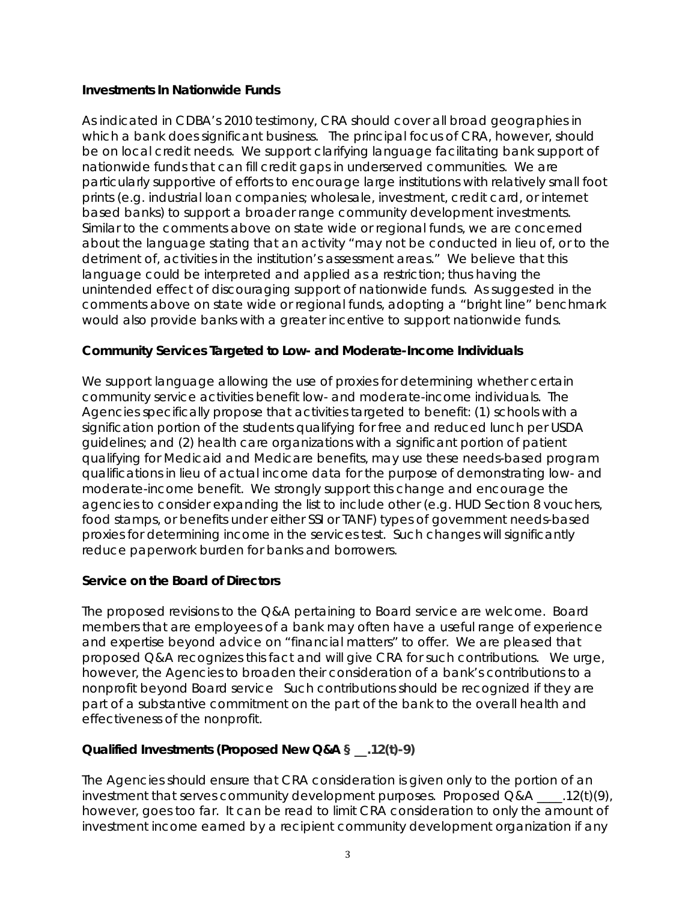#### **Investments In Nationwide Funds**

As indicated in CDBA's 2010 testimony, CRA should cover all broad geographies in which a bank does significant business. The principal focus of CRA, however, should be on local credit needs. We support clarifying language facilitating bank support of nationwide funds that can fill credit gaps in underserved communities. We are particularly supportive of efforts to encourage large institutions with relatively small foot prints (e.g. industrial loan companies; wholesale, investment, credit card, or internet based banks) to support a broader range community development investments. Similar to the comments above on state wide or regional funds, we are concerned about the language stating that an activity "may not be conducted in lieu of, or to the detriment of, activities in the institution's assessment areas." We believe that this language could be interpreted and applied as a restriction; thus having the unintended effect of discouraging support of nationwide funds. As suggested in the comments above on state wide or regional funds, adopting a "bright line" benchmark would also provide banks with a greater incentive to support nationwide funds.

# **Community Services Targeted to Low- and Moderate-Income Individuals**

We support language allowing the use of proxies for determining whether certain community service activities benefit low- and moderate-income individuals. The Agencies specifically propose that activities targeted to benefit: (1) schools with a signification portion of the students qualifying for free and reduced lunch per USDA guidelines; and (2) health care organizations with a significant portion of patient qualifying for Medicaid and Medicare benefits, may use these needs-based program qualifications in lieu of actual income data for the purpose of demonstrating low- and moderate-income benefit. We strongly support this change and encourage the agencies to consider expanding the list to include other (e.g. HUD Section 8 vouchers, food stamps, or benefits under either SSI or TANF) types of government needs-based proxies for determining income in the services test. Such changes will significantly reduce paperwork burden for banks and borrowers.

# **Service on the Board of Directors**

The proposed revisions to the Q&A pertaining to Board service are welcome. Board members that are employees of a bank may often have a useful range of experience and expertise beyond advice on "financial matters" to offer. We are pleased that proposed Q&A recognizes this fact and will give CRA for such contributions. We urge, however, the Agencies to broaden their consideration of a bank's contributions to a nonprofit beyond Board service Such contributions should be recognized if they are part of a substantive commitment on the part of the bank to the overall health and effectiveness of the nonprofit.

# **Qualified Investments (Proposed New Q&A § \_\_.12(t)-9)**

The Agencies should ensure that CRA consideration is given only to the portion of an investment that serves community development purposes. Proposed  $Q&A$   $.12(t)(9)$ , however, goes too far. It can be read to limit CRA consideration to only the amount of investment income earned by a recipient community development organization if any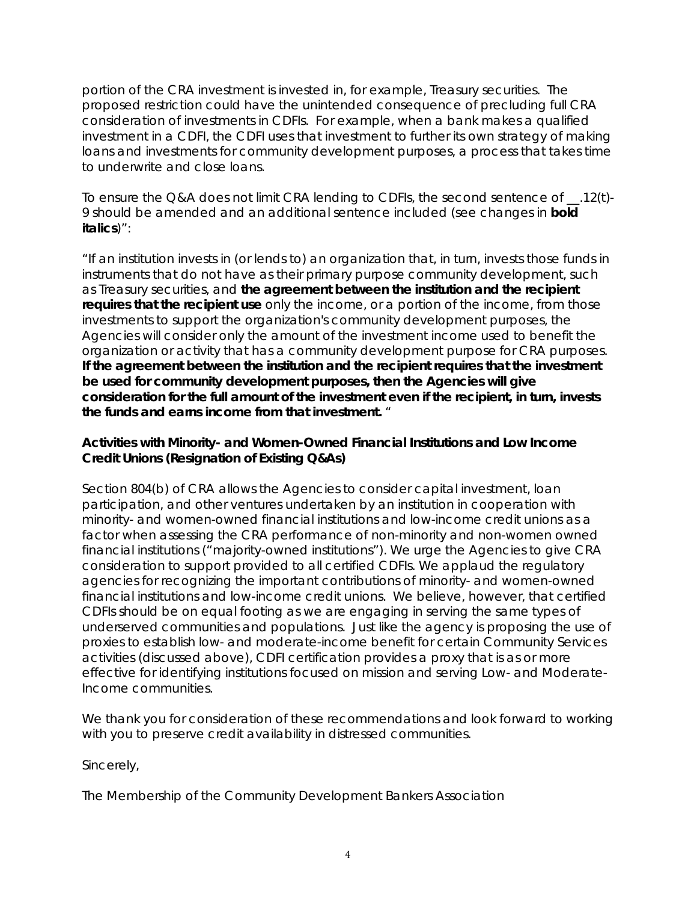portion of the CRA investment is invested in, for example, Treasury securities. The proposed restriction could have the unintended consequence of precluding full CRA consideration of investments in CDFIs. For example, when a bank makes a qualified investment in a CDFI, the CDFI uses that investment to further its own strategy of making loans and investments for community development purposes, a process that takes time to underwrite and close loans.

To ensure the Q&A does not limit CRA lending to CDFIs, the second sentence of \_\_*.12(t)- 9* should be amended and an additional sentence included (see changes in *bold italics*)":

"If an institution invests in (or lends to) an organization that, in turn, invests those funds in instruments that do not have as their primary purpose community development, such as Treasury securities, and *the agreement between the institution and the recipient requires that the recipient use* only the income, or a portion of the income, from those investments to support the organization's community development purposes, the Agencies will consider only the amount of the investment income used to benefit the organization or activity that has a community development purpose for CRA purposes. *If the agreement between the institution and the recipient requires that the investment be used for community development purposes, then the Agencies will give consideration for the full amount of the investment even if the recipient, in turn, invests the funds and earns income from that investment.* "

#### **Activities with Minority- and Women-Owned Financial Institutions and Low Income Credit Unions (Resignation of Existing Q&As)**

Section 804(b) of CRA allows the Agencies to consider capital investment, loan participation, and other ventures undertaken by an institution in cooperation with minority- and women-owned financial institutions and low-income credit unions as a factor when assessing the CRA performance of non-minority and non-women owned financial institutions ("majority-owned institutions"). We urge the Agencies to give CRA consideration to support provided to all certified CDFIs. We applaud the regulatory agencies for recognizing the important contributions of minority- and women-owned financial institutions and low-income credit unions. We believe, however, that certified CDFIs should be on equal footing as we are engaging in serving the same types of underserved communities and populations. Just like the agency is proposing the use of proxies to establish low- and moderate-income benefit for certain Community Services activities (discussed above), CDFI certification provides a proxy that is as or more effective for identifying institutions focused on mission and serving Low- and Moderate-Income communities.

We thank you for consideration of these recommendations and look forward to working with you to preserve credit availability in distressed communities.

Sincerely,

The Membership of the Community Development Bankers Association